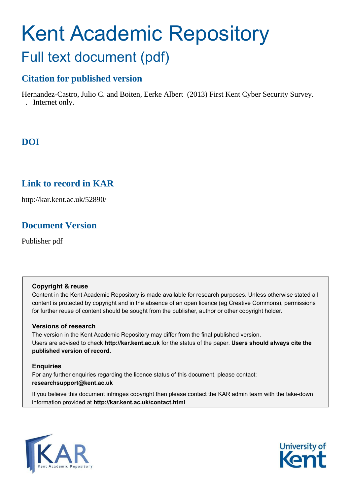# Kent Academic Repository Full text document (pdf)

## **Citation for published version**

Hernandez-Castro, Julio C. and Boiten, Eerke Albert (2013) First Kent Cyber Security Survey. . Internet only.

## **DOI**

## **Link to record in KAR**

http://kar.kent.ac.uk/52890/

## **Document Version**

Publisher pdf

### **Copyright & reuse**

Content in the Kent Academic Repository is made available for research purposes. Unless otherwise stated all content is protected by copyright and in the absence of an open licence (eg Creative Commons), permissions for further reuse of content should be sought from the publisher, author or other copyright holder.

### **Versions of research**

The version in the Kent Academic Repository may differ from the final published version. Users are advised to check **http://kar.kent.ac.uk** for the status of the paper. **Users should always cite the published version of record.**

### **Enquiries**

For any further enquiries regarding the licence status of this document, please contact: **researchsupport@kent.ac.uk**

If you believe this document infringes copyright then please contact the KAR admin team with the take-down information provided at **http://kar.kent.ac.uk/contact.html**



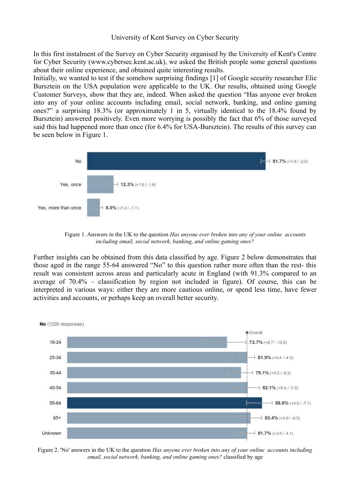#### University of Kent Survey on Cyber Security

In this first instalment of the Survey on Cyber Security organised by the University of Kent's Centre for Cyber Security (www.cybersec.kent.ac.uk), we asked the British people some general questions about their online experience, and obtained quite interesting results.

Initially, we wanted to test if the somehow surprising findings [1] of Google security researcher Elie Bursztein on the USA population were applicable to the UK. Our results, obtained using Google Customer Surveys, show that they are, indeed. When asked the question "Has anyone ever broken into any of your online accounts including email, social network, banking, and online gaming ones?" a surprising 18.3% (or approximately 1 in 5, virtually identical to the 18.4% found by Bursztein) answered positively. Even more worrying is possibly the fact that 6% of those surveyed said this had happened more than once (for 6.4% for USA-Bursztein). The results of this survey can be seen below in Figure 1.



Figure 1. Answers in the UK to the question *Has anyone ever broken into any of your online accounts including email, social network, banking, and online gaming ones?*

Further insights can be obtained from this data classified by age. Figure 2 below demonstrates that those aged in the range 55-64 answered "No" to this question rather more often than the rest- this result was consistent across areas and particularly acute in England (with 91.3% compared to an average of 70.4% – classification by region not included in figure). Of course, this can be interpreted in various ways: either they are more cautious online, or spend less time, have fewer activities and accounts, or perhaps keep an overall better security.



Figure 2. 'No' answers in the UK to the question *Has anyone ever broken into any of your online accounts including email, social network, banking, and online gaming ones?* classified by age